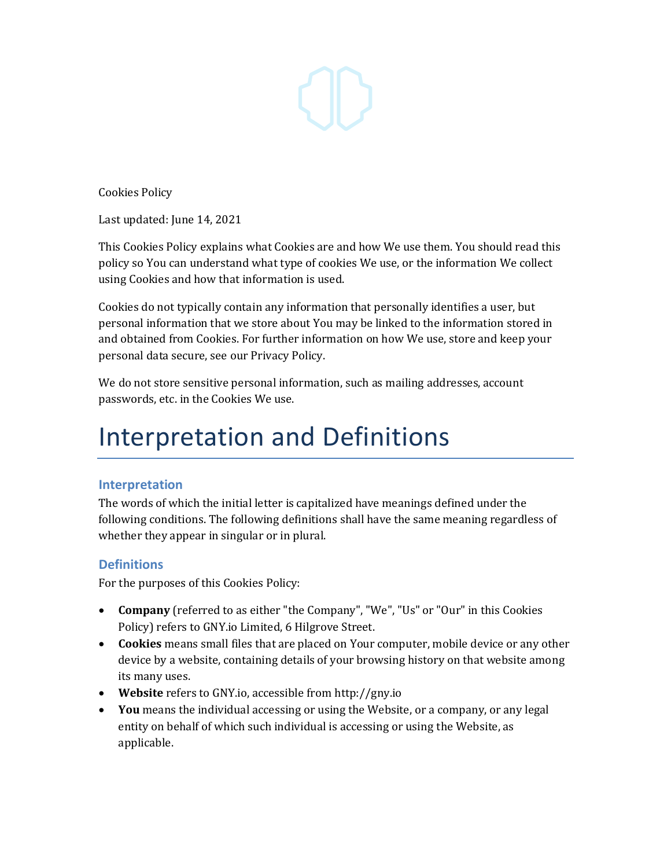

Cookies Policy

Last updated: June 14, 2021

This Cookies Policy explains what Cookies are and how We use them. You should read this policy so You can understand what type of cookies We use, or the information We collect using Cookies and how that information is used.

Cookies do not typically contain any information that personally identifies a user, but personal information that we store about You may be linked to the information stored in and obtained from Cookies. For further information on how We use, store and keep your personal data secure, see our Privacy Policy.

We do not store sensitive personal information, such as mailing addresses, account passwords, etc. in the Cookies We use.

# Interpretation and Definitions

## **Interpretation**

The words of which the initial letter is capitalized have meanings defined under the following conditions. The following definitions shall have the same meaning regardless of whether they appear in singular or in plural.

## **Definitions**

For the purposes of this Cookies Policy:

- **Company** (referred to as either "the Company", "We", "Us" or "Our" in this Cookies Policy) refers to GNY.io Limited, 6 Hilgrove Street.
- **Cookies** means small files that are placed on Your computer, mobile device or any other device by a website, containing details of your browsing history on that website among its many uses.
- **Website** refers to GNY.io, accessible from [http://gny.io](http://gny.io/)
- **You** means the individual accessing or using the Website, or a company, or any legal entity on behalf of which such individual is accessing or using the Website, as applicable.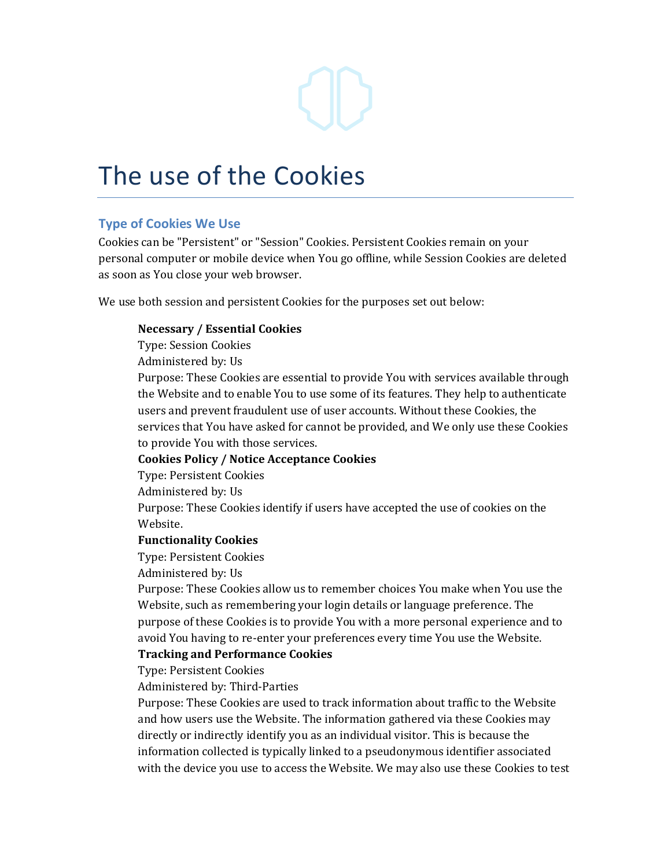## The use of the Cookies

### **Type of Cookies We Use**

Cookies can be "Persistent" or "Session" Cookies. Persistent Cookies remain on your personal computer or mobile device when You go offline, while Session Cookies are deleted as soon as You close your web browser.

We use both session and persistent Cookies for the purposes set out below:

#### **Necessary / Essential Cookies**

Type: Session Cookies

Administered by: Us

Purpose: These Cookies are essential to provide You with services available through the Website and to enable You to use some of its features. They help to authenticate users and prevent fraudulent use of user accounts. Without these Cookies, the services that You have asked for cannot be provided, and We only use these Cookies to provide You with those services.

#### **Cookies Policy / Notice Acceptance Cookies**

Type: Persistent Cookies

Administered by: Us

Purpose: These Cookies identify if users have accepted the use of cookies on the Website.

#### **Functionality Cookies**

Type: Persistent Cookies

Administered by: Us

Purpose: These Cookies allow us to remember choices You make when You use the Website, such as remembering your login details or language preference. The purpose of these Cookies is to provide You with a more personal experience and to avoid You having to re-enter your preferences every time You use the Website.

#### **Tracking and Performance Cookies**

Type: Persistent Cookies

Administered by: Third-Parties

Purpose: These Cookies are used to track information about traffic to the Website and how users use the Website. The information gathered via these Cookies may directly or indirectly identify you as an individual visitor. This is because the information collected is typically linked to a pseudonymous identifier associated with the device you use to access the Website. We may also use these Cookies to test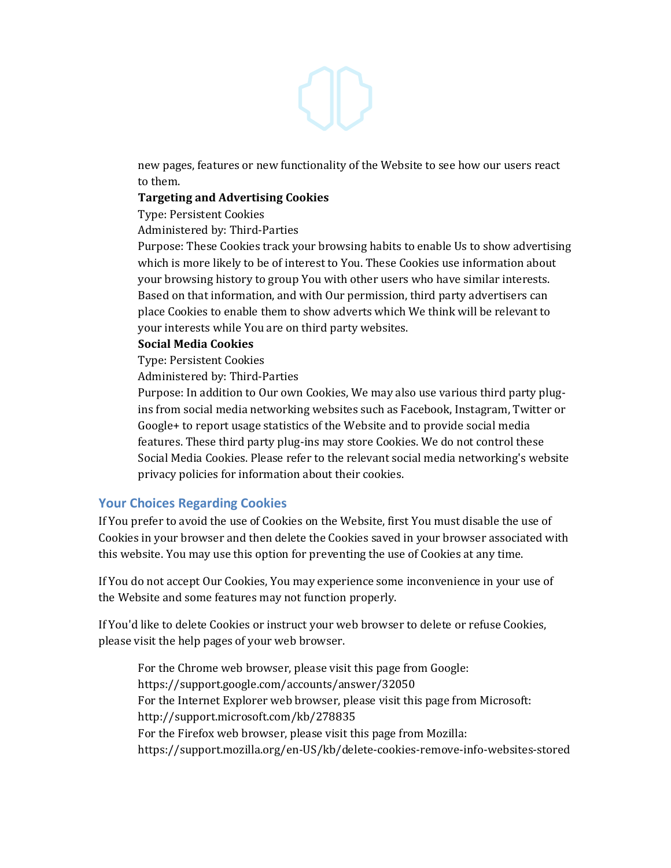

new pages, features or new functionality of the Website to see how our users react to them.

#### **Targeting and Advertising Cookies**

Type: Persistent Cookies

Administered by: Third-Parties

Purpose: These Cookies track your browsing habits to enable Us to show advertising which is more likely to be of interest to You. These Cookies use information about your browsing history to group You with other users who have similar interests. Based on that information, and with Our permission, third party advertisers can place Cookies to enable them to show adverts which We think will be relevant to your interests while You are on third party websites.

#### **Social Media Cookies**

Type: Persistent Cookies

Administered by: Third-Parties

Purpose: In addition to Our own Cookies, We may also use various third party plugins from social media networking websites such as Facebook, Instagram, Twitter or Google+ to report usage statistics of the Website and to provide social media features. These third party plug-ins may store Cookies. We do not control these Social Media Cookies. Please refer to the relevant social media networking's website privacy policies for information about their cookies.

## **Your Choices Regarding Cookies**

If You prefer to avoid the use of Cookies on the Website, first You must disable the use of Cookies in your browser and then delete the Cookies saved in your browser associated with this website. You may use this option for preventing the use of Cookies at any time.

If You do not accept Our Cookies, You may experience some inconvenience in your use of the Website and some features may not function properly.

If You'd like to delete Cookies or instruct your web browser to delete or refuse Cookies, please visit the help pages of your web browser.

For the Chrome web browser, please visit this page from Google: <https://support.google.com/accounts/answer/32050> For the Internet Explorer web browser, please visit this page from Microsoft: <http://support.microsoft.com/kb/278835> For the Firefox web browser, please visit this page from Mozilla: <https://support.mozilla.org/en-US/kb/delete-cookies-remove-info-websites-stored>